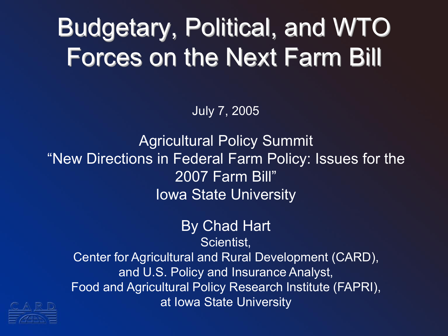#### Budgetary, Political, and WTO Forces on the Next Farm Bill

July 7, 2005

Agricultural Policy Summit "New Directions in Federal Farm Policy: Issues for the 2007 Farm Bill" Iowa State University

> By Chad Hart Scientist,

Center for Agricultural and Rural Development (CARD), and U.S. Policy and Insurance Analyst, Food and Agricultural Policy Research Institute (FAPRI), at Iowa State University

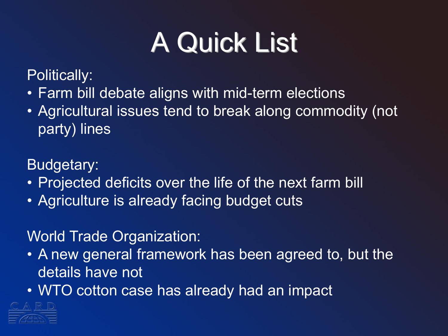## A Quick List

Politically:

- Farm bill debate aligns with mid-term elections
- Agricultural issues tend to break along commodity (not party) lines

Budgetary:

- Projected deficits over the life of the next farm bill
- Agriculture is already facing budget cuts

#### World Trade Organization:

- A new general framework has been agreed to, but the details have not
- WTO cotton case has already had an impact

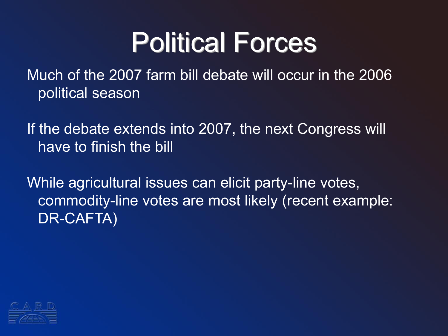### Political Forces

Much of the 2007 farm bill debate will occur in the 2006 political season

If the debate extends into 2007, the next Congress will have to finish the bill

While agricultural issues can elicit party-line votes, commodity-line votes are most likely (recent example: DR-CAFTA)

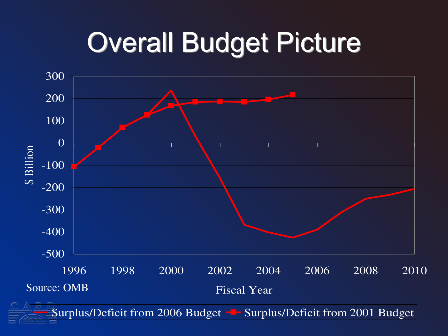## Overall Budget Picture

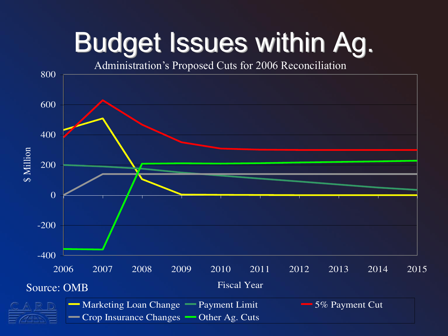## Budget Issues within Ag.

Administration's Proposed Cuts for 2006 Reconciliation

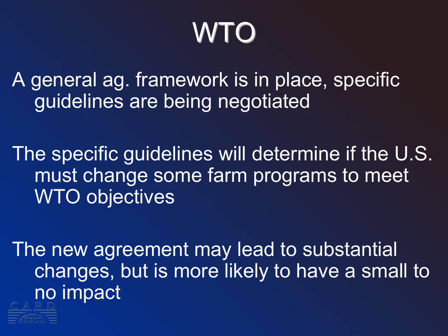# WTO

A general ag. framework is in place, specific guidelines are being negotiated

The specific guidelines will determine if the U.S. must change some farm programs to meet WTO objectives

The new agreement may lead to substantial changes, but is more likely to have a small to no impact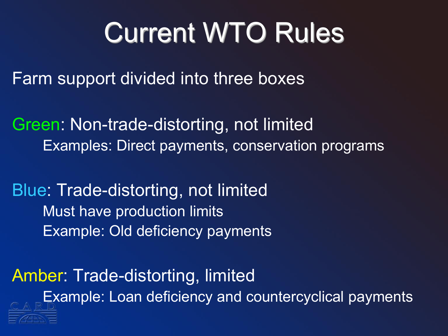## Current WTO Rules

Farm support divided into three boxes

Green: Non-trade-distorting, not limited Examples: Direct payments, conservation programs

Blue: Trade-distorting, not limited Must have production limits Example: Old deficiency payments

Amber: Trade-distorting, limited Example: Loan deficiency and countercyclical payments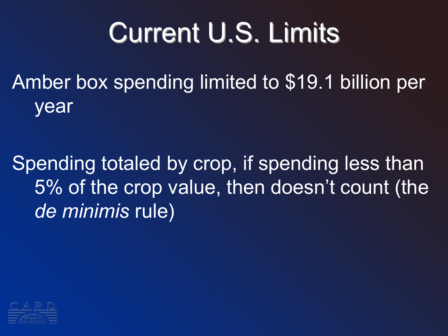# Current U.S. Limits

Amber box spending limited to \$19.1 billion per year

Spending totaled by crop, if spending less than 5% of the crop value, then doesn't count (the *de minimis* rule)

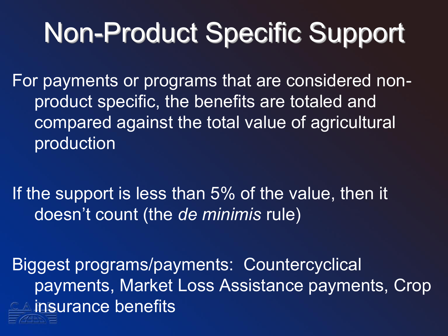# Non-Product Specific Support

For payments or programs that are considered nonproduct specific, the benefits are totaled and compared against the total value of agricultural production

If the support is less than 5% of the value, then it doesn't count (the *de minimis* rule)

Biggest programs/payments: Countercyclical payments, Market Loss Assistance payments, Crop **Example insurance benefits**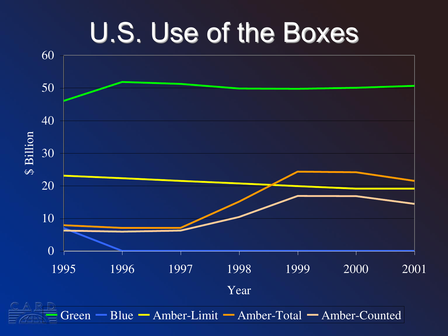#### U.S. Use of the Boxes

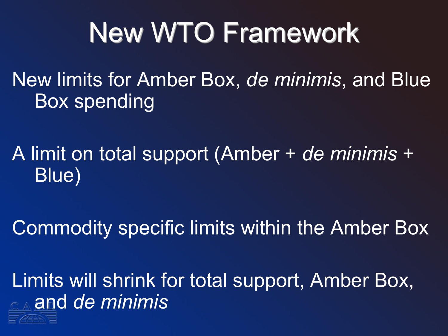# New WTO Framework

New limits for Amber Box, *de minimis*, and Blue Box spending

A limit on total support (Amber + *de minimis* + Blue)

Commodity specific limits within the Amber Box

Limits will shrink for total support, Amber Box, and *de minimis*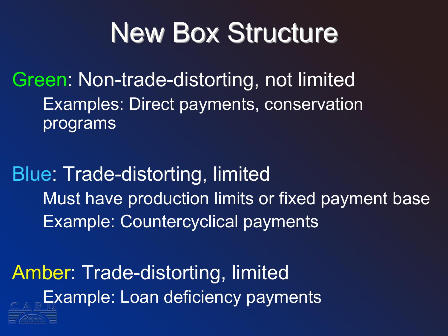## New Box Structure

Green: Non-trade-distorting, not limited Examples: Direct payments, conservation programs

Blue: Trade-distorting, limited Must have production limits or fixed payment base Example: Countercyclical payments

Amber: Trade-distorting, limited Example: Loan deficiency payments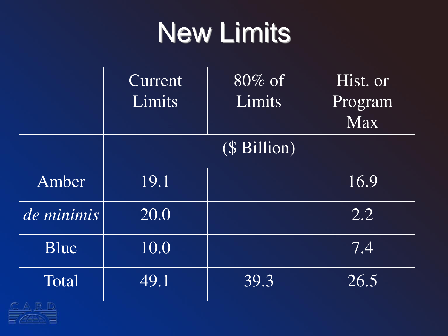## New Limits

|            | Current<br>Limits | $80\%$ of<br>Limits | Hist. or<br>Program<br><b>Max</b> |
|------------|-------------------|---------------------|-----------------------------------|
|            | (\$ Billion)      |                     |                                   |
| Amber      | 19.1              |                     | 16.9                              |
| de minimis | 20.0              |                     | 2.2                               |
| Blue       | 10.0              |                     | 7.4                               |
| Total      | 49.1              | 39.3                | 26.5                              |

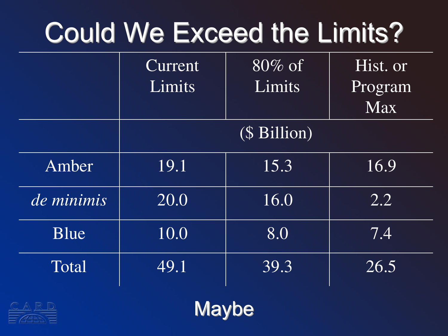# Could We Exceed the Limits?

|            | Current<br>Limits | $80\%$ of<br>Limits | Hist. or<br>Program<br><b>Max</b> |
|------------|-------------------|---------------------|-----------------------------------|
|            |                   | (\$ Billion)        |                                   |
| Amber      | 19.1              | 15.3                | 16.9                              |
| de minimis | 20.0              | 16.0                | 2.2                               |
| Blue       | 10.0              | 8.0                 | $\overline{7.4}$                  |
| Total      | 49.1              | 39.3                | 26.5                              |
|            |                   |                     |                                   |

Maybe

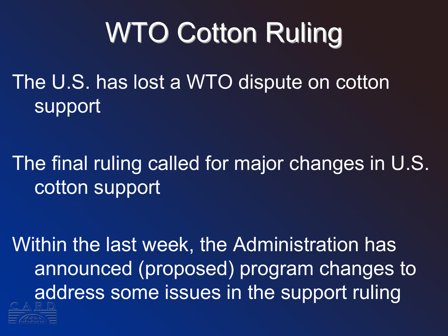# WTO Cotton Ruling

The U.S. has lost a WTO dispute on cotton support

The final ruling called for major changes in U.S. cotton support

Within the last week, the Administration has announced (proposed) program changes to address some issues in the support ruling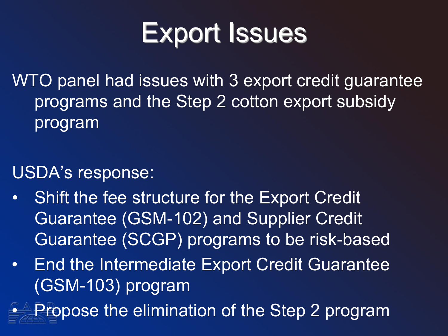## Export Issues

WTO panel had issues with 3 export credit guarantee programs and the Step 2 cotton export subsidy program

#### USDA's response:

- Shift the fee structure for the Export Credit Guarantee (GSM-102) and Supplier Credit Guarantee (SCGP) programs to be risk-based
- End the Intermediate Export Credit Guarantee (GSM-103) program

• Propose the elimination of the Step 2 program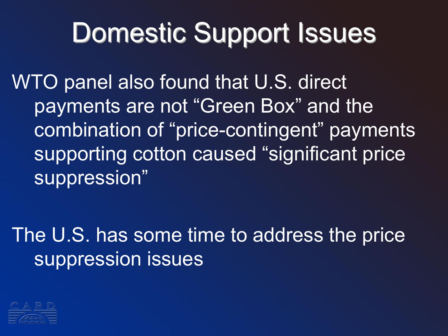## Domestic Support Issues

WTO panel also found that U.S. direct payments are not "Green Box" and the combination of "price-contingent" payments supporting cotton caused "significant price suppression"

The U.S. has some time to address the price suppression issues

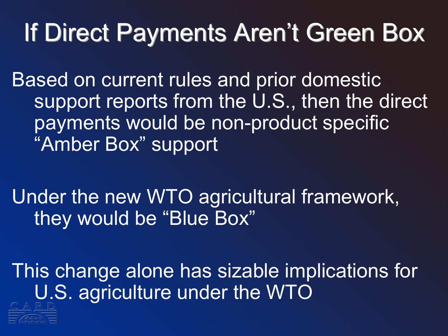#### If Direct Payments Aren't Green Box

Based on current rules and prior domestic support reports from the U.S., then the direct payments would be non-product specific "Amber Box" support

Under the new WTO agricultural framework, they would be "Blue Box"

This change alone has sizable implications for U.S. agriculture under the WTO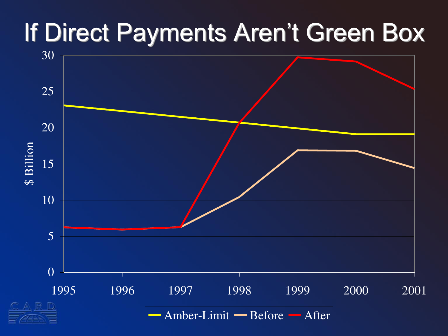#### If Direct Payments Aren't Green Box